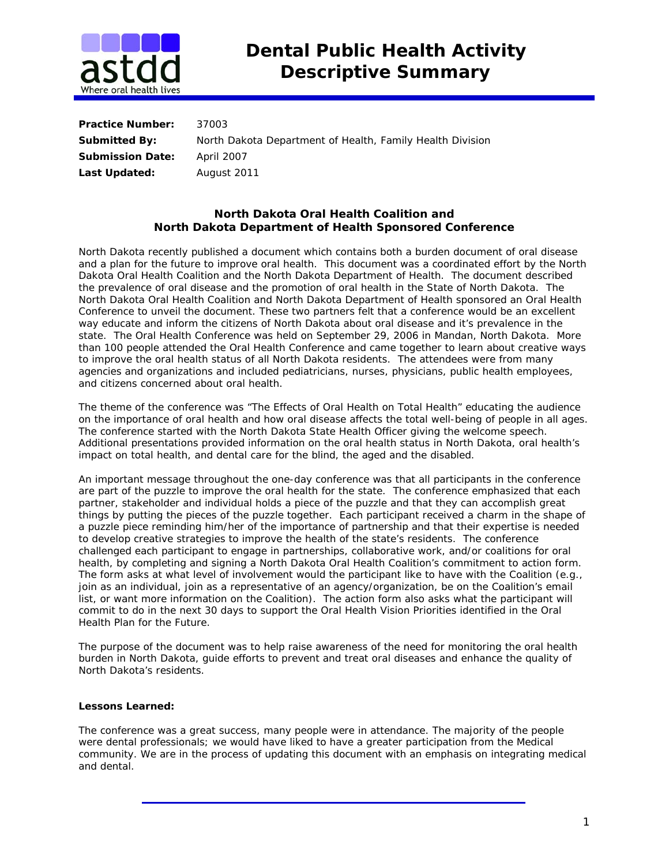

| <b>Practice Number:</b> | 37003                                                     |
|-------------------------|-----------------------------------------------------------|
| <b>Submitted By:</b>    | North Dakota Department of Health, Family Health Division |
| <b>Submission Date:</b> | April 2007                                                |
| Last Updated:           | August 2011                                               |

## **North Dakota Oral Health Coalition and North Dakota Department of Health Sponsored Conference**

North Dakota recently published a document which contains both a burden document of oral disease and a plan for the future to improve oral health. This document was a coordinated effort by the North Dakota Oral Health Coalition and the North Dakota Department of Health. The document described the prevalence of oral disease and the promotion of oral health in the State of North Dakota. The North Dakota Oral Health Coalition and North Dakota Department of Health sponsored an Oral Health Conference to unveil the document. These two partners felt that a conference would be an excellent way educate and inform the citizens of North Dakota about oral disease and it's prevalence in the state. The Oral Health Conference was held on September 29, 2006 in Mandan, North Dakota. More than 100 people attended the Oral Health Conference and came together to learn about creative ways to improve the oral health status of all North Dakota residents. The attendees were from many agencies and organizations and included pediatricians, nurses, physicians, public health employees, and citizens concerned about oral health.

The theme of the conference was "The Effects of Oral Health on Total Health" educating the audience on the importance of oral health and how oral disease affects the total well-being of people in all ages. The conference started with the North Dakota State Health Officer giving the welcome speech. Additional presentations provided information on the oral health status in North Dakota, oral health's impact on total health, and dental care for the blind, the aged and the disabled.

An important message throughout the one-day conference was that all participants in the conference are part of the puzzle to improve the oral health for the state. The conference emphasized that each partner, stakeholder and individual holds a piece of the puzzle and that they can accomplish great things by putting the pieces of the puzzle together. Each participant received a charm in the shape of a puzzle piece reminding him/her of the importance of partnership and that their expertise is needed to develop creative strategies to improve the health of the state's residents. The conference challenged each participant to engage in partnerships, collaborative work, and/or coalitions for oral health, by completing and signing a North Dakota Oral Health Coalition's commitment to action form. The form asks at what level of involvement would the participant like to have with the Coalition (e.g., join as an individual, join as a representative of an agency/organization, be on the Coalition's email list, or want more information on the Coalition). The action form also asks what the participant will commit to do in the next 30 days to support the Oral Health Vision Priorities identified in the Oral Health Plan for the Future.

The purpose of the document was to help raise awareness of the need for monitoring the oral health burden in North Dakota, guide efforts to prevent and treat oral diseases and enhance the quality of North Dakota's residents.

## **Lessons Learned:**

The conference was a great success, many people were in attendance. The majority of the people were dental professionals; we would have liked to have a greater participation from the Medical community. We are in the process of updating this document with an emphasis on integrating medical and dental.